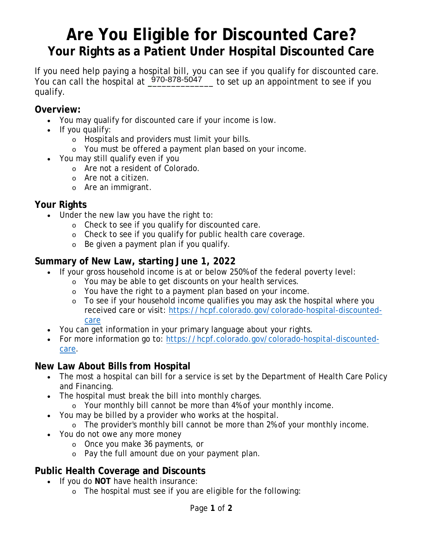# **Are You Eligible for Discounted Care? Your Rights as a Patient Under Hospital Discounted Care**

If you need help paying a hospital bill, you can see if you qualify for discounted care. You can call the hospital at  $\frac{970-878-5047}{ }$  to set up an appointment to see if you qualify.

## **Overview:**

- You may qualify for discounted care if your income is low.
- If you qualify:
	- o Hospitals and providers must limit your bills.
	- o You must be offered a payment plan based on your income.
- You may still qualify even if you
	- o Are not a resident of Colorado.
	- o Are not a citizen.
	- o Are an immigrant.

#### **Your Rights**

- Under the new law you have the right to:
	- o Check to see if you qualify for discounted care.
	- o Check to see if you qualify for public health care coverage.
	- o Be given a payment plan if you qualify.

### **Summary of New Law, starting June 1, 2022**

- If your gross household income is at or below 250% of the federal poverty level:
	- o You may be able to get discounts on your health services.
	- o You have the right to a payment plan based on your income.
	- o To see if your household income qualifies you may ask the hospital where you received care or visit: https://hcpf.colorado.gov/colorado-hospital-discountedcare
- You can get information in your primary language about your rights.
- For more information go to: https://hcpf.colorado.gov/colorado-hospital-discountedcare.

### **New Law About Bills from Hospital**

- The most a hospital can bill for a service is set by the Department of Health Care Policy and Financing.
- The hospital must break the bill into monthly charges.
	- o Your monthly bill cannot be more than 4% of your monthly income.
- You may be billed by a provider who works at the hospital.
	- o The provider's monthly bill cannot be more than 2% of your monthly income.
- You do not owe any more money
	- o Once you make 36 payments, or
	- o Pay the full amount due on your payment plan.

## **Public Health Coverage and Discounts**

- If you do **NOT** have health insurance:
	- o The hospital must see if you are eligible for the following: